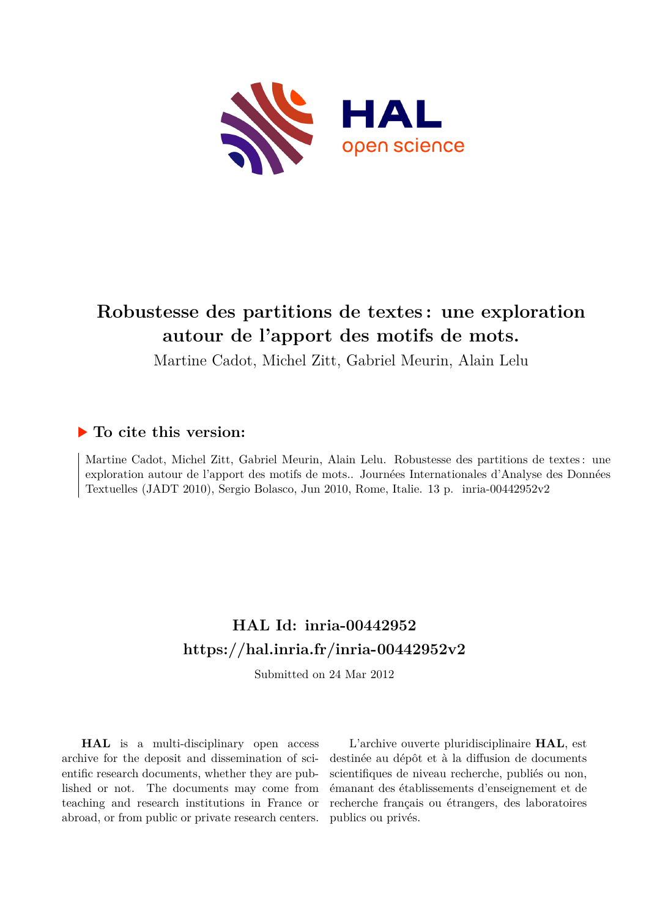

# **Robustesse des partitions de textes : une exploration autour de l'apport des motifs de mots.**

Martine Cadot, Michel Zitt, Gabriel Meurin, Alain Lelu

## **To cite this version:**

Martine Cadot, Michel Zitt, Gabriel Meurin, Alain Lelu. Robustesse des partitions de textes : une exploration autour de l'apport des motifs de mots.. Journées Internationales d'Analyse des Données Textuelles (JADT 2010), Sergio Bolasco, Jun 2010, Rome, Italie. 13 p. inria-00442952v2

## **HAL Id: inria-00442952 <https://hal.inria.fr/inria-00442952v2>**

Submitted on 24 Mar 2012

**HAL** is a multi-disciplinary open access archive for the deposit and dissemination of scientific research documents, whether they are published or not. The documents may come from teaching and research institutions in France or abroad, or from public or private research centers.

L'archive ouverte pluridisciplinaire **HAL**, est destinée au dépôt et à la diffusion de documents scientifiques de niveau recherche, publiés ou non, émanant des établissements d'enseignement et de recherche français ou étrangers, des laboratoires publics ou privés.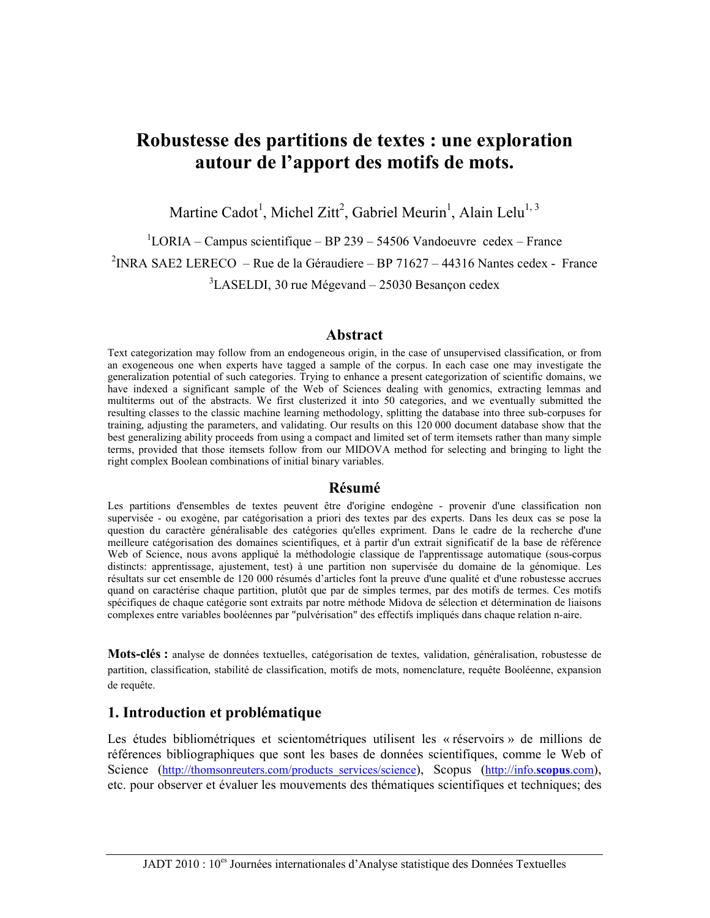## Robustesse des partitions de textes : une exploration autour de l'apport des motifs de mots.

Martine Cadot<sup>1</sup>, Michel Zitt<sup>2</sup>, Gabriel Meurin<sup>1</sup>, Alain Lelu<sup>1, 3</sup>

 $1$ LORIA – Campus scientifique – BP 239 – 54506 Vandoeuvre cedex – France <sup>2</sup>INRA SAE2 LERECO – Rue de la Géraudiere – BP 71627 – 44316 Nantes cedex - France  $3$ LASELDI, 30 rue Mégevand – 25030 Besançon cedex

#### **Abstract**

Text categorization may follow from an endogeneous origin, in the case of unsupervised classification, or from an exogeneous one when experts have tagged a sample of the corpus. In each case one may investigate the generalization potential of such categories. Trying to enhance a present categorization of scientific domains, we have indexed a significant sample of the Web of Sciences dealing with genomics, extracting lemmas and multiterms out of the abstracts. We first clusterized it into 50 categories, and we eventually submitted the resulting classes to the classic machine learning methodology, splitting the database into three sub-corpuses for training, adjusting the parameters, and validating. Our results on this 120 000 document database show that the best generalizing ability proceeds from using a compact and limited set of term itemsets rather than many simple terms, provided that those itemsets follow from our MIDOVA method for selecting and bringing to light the right complex Boolean combinations of initial binary variables.

#### Résumé

Les partitions d'ensembles de textes peuvent être d'origine endogène - provenir d'une classification non supervisée - ou exogène, par catégorisation a priori des textes par des experts. Dans les deux cas se pose la question du caractère généralisable des catégories qu'elles expriment. Dans le cadre de la recherche d'une meilleure catégorisation des domaines scientifiques, et à partir d'un extrait significatif de la base de référence Web of Science, nous avons appliqué la méthodologie classique de l'apprentissage automatique (sous-corpus distincts: apprentissage, ajustement, test) à une partition non supervisée du domaine de la génomique. Les résultats sur cet ensemble de 120 000 résumés d'articles font la preuve d'une qualité et d'une robustesse accrues quand on caractérise chaque partition, plutôt que par de simples termes, par des motifs de termes. Ces motifs spécifiques de chaque catégorie sont extraits par notre méthode Midova de sélection et détermination de liaisons complexes entre variables booléennes par "pulvérisation" des effectifs impliqués dans chaque relation n-aire.

Mots-clés : analyse de données textuelles, catégorisation de textes, validation, généralisation, robustesse de partition, classification, stabilité de classification, motifs de mots, nomenclature, requête Booléenne, expansion de requête.

#### 1. Introduction et problématique

Les études bibliométriques et scientométriques utilisent les « réservoirs » de millions de références bibliographiques que sont les bases de données scientifiques, comme le Web of Science (http://thomsonreuters.com/products services/science), Scopus (http://info.scopus.com), etc. pour observer et évaluer les mouvements des thématiques scientifiques et techniques; des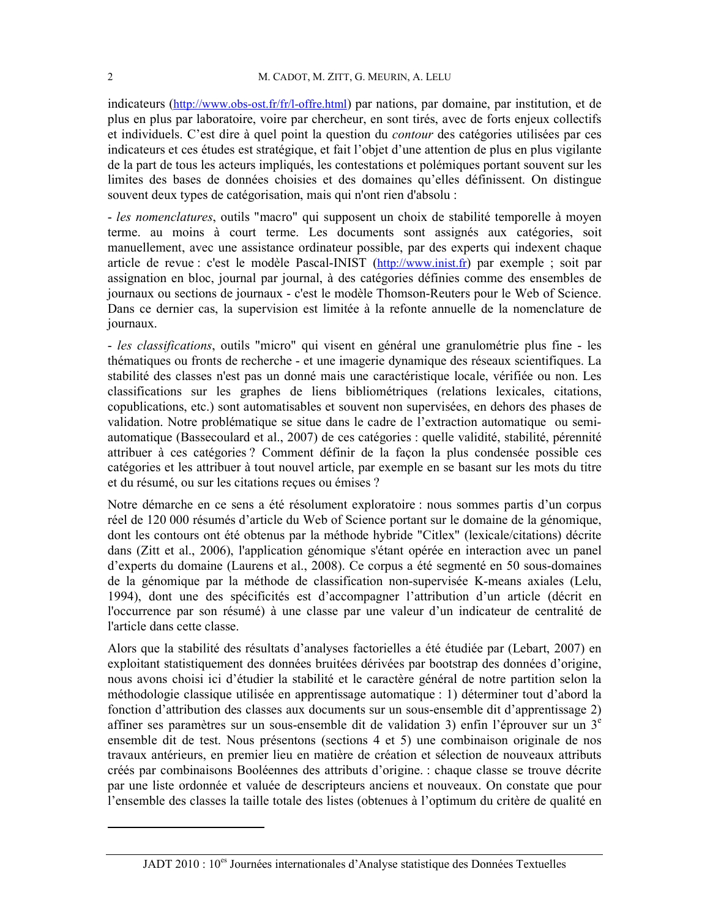indicateurs (http://www.obs-ost.fr/fr/l-offre.html) par nations, par domaine, par institution, et de plus en plus par laboratoire, voire par chercheur, en sont tirés, avec de forts enjeux collectifs et individuels. C'est dire à quel point la question du *contour* des catégories utilisées par ces indicateurs et ces études est stratégique, et fait l'objet d'une attention de plus en plus vigilante de la part de tous les acteurs impliqués, les contestations et polémiques portant souvent sur les limités des bases de données choisies et des domaines qu'elles définissent. On distingue souvent deux types de catégorisation, mais qui n'ont rien d'absolu :

- les nomenclatures, outils "macro" qui supposent un choix de stabilité temporelle à moyen terme. au moins à court terme. Les documents sont assignés aux catégories, soit manuellement, avec une assistance ordinateur possible, par des experts qui indexent chaque article de revue : c'est le modèle Pascal-INIST (http://www.inist.fr) par exemple ; soit par assignation en bloc, journal par journal, à des catégories définies comme des ensembles de journaux ou sections de journaux - c'est le modèle Thomson-Reuters pour le Web of Science. Dans ce dernier cas, la supervision est limitée à la refonte annuelle de la nomenclature de journaux.

- les classifications, outils "micro" qui visent en général une granulométrie plus fine - les thématiques ou fronts de recherche - et une imagerie dynamique des réseaux scientifiques. La stabilité des classes n'est pas un donné mais une caractéristique locale, vérifiée ou non. Les classifications sur les graphes de liens bibliométriques (relations lexicales, citations, copublications, etc.) sont automatisables et souvent non supervisées, en dehors des phases de validation. Notre problématique se situe dans le cadre de l'extraction automatique ou semiautomatique (Bassecoulard et al., 2007) de ces catégories : quelle validité, stabilité, pérennité attribuer à ces catégories ? Comment définir de la façon la plus condensée possible ces catégories et les attribuer à tout nouvel article, par exemple en se basant sur les mots du titre et du résumé, ou sur les citations recues ou émises ?

Notre démarche en ce sens a été résolument exploratoire : nous sommes partis d'un corpus réel de 120 000 résumés d'article du Web of Science portant sur le domaine de la génomique, dont les contours ont été obtenus par la méthode hybride "Citlex" (lexicale/citations) décrite dans (Zitt et al., 2006), l'application génomique s'étant opérée en interaction avec un panel d'experts du domaine (Laurens et al., 2008). Ce corpus a été segmenté en 50 sous-domaines de la génomique par la méthode de classification non-supervisée K-means axiales (Lelu, 1994), dont une des spécificités est d'accompagner l'attribution d'un article (décrit en l'occurrence par son résumé) à une classe par une valeur d'un indicateur de centralité de l'article dans cette classe.

Alors que la stabilité des résultats d'analyses factorielles a été étudiée par (Lebart, 2007) en exploitant statistiquement des données bruitées dérivées par bootstrap des données d'origine, nous avons choisi ici d'étudier la stabilité et le caractère général de notre partition selon la méthodologie classique utilisée en apprentissage automatique : 1) déterminer tout d'abord la fonction d'attribution des classes aux documents sur un sous-ensemble dit d'apprentissage 2) affiner ses paramètres sur un sous-ensemble dit de validation 3) enfin l'éprouver sur un  $3<sup>e</sup>$ ensemble dit de test. Nous présentons (sections 4 et 5) une combinaison originale de nos travaux antérieurs, en premier lieu en matière de création et sélection de nouveaux attributs créés par combinaisons Booléennes des attributs d'origine. : chaque classe se trouve décrite par une liste ordonnée et valuée de descripteurs anciens et nouveaux. On constate que pour l'ensemble des classes la taille totale des listes (obtenues à l'optimum du critère de qualité en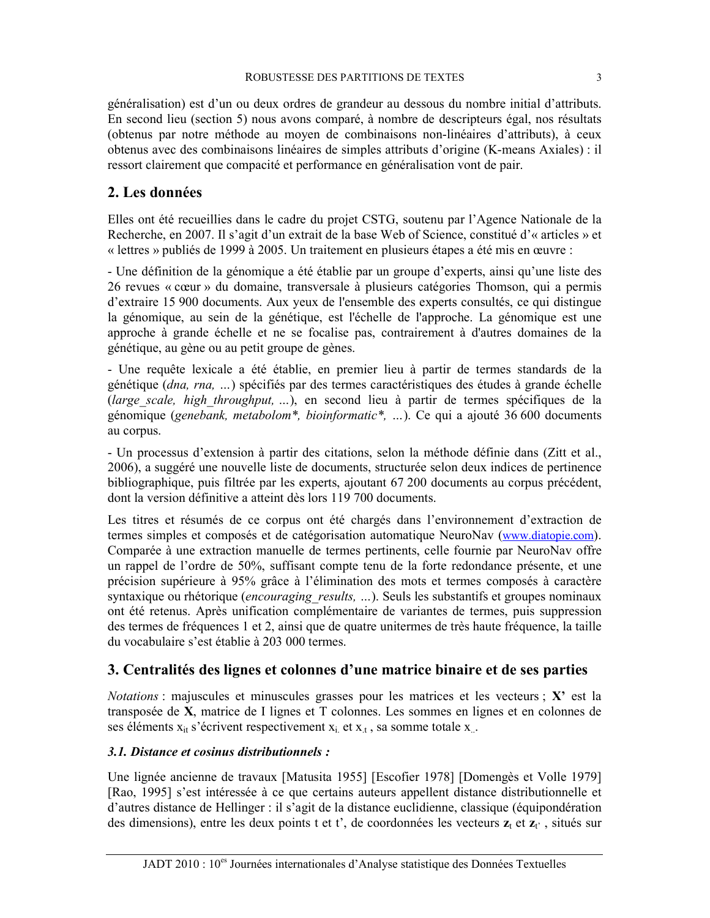généralisation) est d'un ou deux ordres de grandeur au dessous du nombre initial d'attributs. En second lieu (section 5) nous avons comparé, à nombre de descripteurs égal, nos résultats (obtenus par notre méthode au moyen de combinaisons non-linéaires d'attributs), à ceux obtenus avec des combinaisons linéaires de simples attributs d'origine (K-means Axiales) : il ressort clairement que compacité et performance en généralisation vont de pair.

## 2. Les données

Elles ont été recueillies dans le cadre du projet CSTG, soutenu par l'Agence Nationale de la Recherche, en 2007. Il s'agit d'un extrait de la base Web of Science, constitué d'« articles » et « lettres » publiés de 1999 à 2005. Un traitement en plusieurs étapes a été mis en œuvre :

- Une définition de la génomique a été établie par un groupe d'experts, ainsi qu'une liste des 26 revues « cœur » du domaine, transversale à plusieurs catégories Thomson, qui a permis d'extraire 15 900 documents. Aux yeux de l'ensemble des experts consultés, ce qui distingue la génomique, au sein de la génétique, est l'échelle de l'approche. La génomique est une approche à grande échelle et ne se focalise pas, contrairement à d'autres domaines de la génétique, au gène ou au petit groupe de gènes.

- Une requête lexicale a été établie, en premier lieu à partir de termes standards de la génétique (*dna, rna, ...*) spécifiés par des termes caractéristiques des études à grande échelle (large scale, high throughput, ...), en second lieu à partir de termes spécifiques de la génomique (genebank, metabolom\*, bioinformatic\*, ...). Ce qui a ajouté 36 600 documents au corpus.

- Un processus d'extension à partir des citations, selon la méthode définie dans (Zitt et al., 2006), a suggéré une nouvelle liste de documents, structurée selon deux indices de pertinence bibliographique, puis filtrée par les experts, ajoutant 67 200 documents au corpus précédent, dont la version définitive a atteint dès lors 119 700 documents.

Les titres et résumés de ce corpus ont été chargés dans l'environnement d'extraction de termes simples et composés et de catégorisation automatique NeuroNav (www.diatopie.com). Comparée à une extraction manuelle de termes pertinents, celle fournie par NeuroNav offre un rappel de l'ordre de 50%, suffisant compte tenu de la forte redondance présente, et une précision supérieure à 95% grâce à l'élimination des mots et termes composés à caractère syntaxique ou rhétorique *(encouraging results, ...)*. Seuls les substantifs et groupes nominaux ont été retenus. Après unification complémentaire de variantes de termes, puis suppression des termes de fréquences 1 et 2, ainsi que de quatre unitermes de très haute fréquence, la taille du vocabulaire s'est établie à 203 000 termes.

## 3. Centralités des lignes et colonnes d'une matrice binaire et de ses parties

*Notations*: majuscules et minuscules grasses pour les matrices et les vecteurs;  $X'$  est la transposée de X, matrice de I lignes et T colonnes. Les sommes en lignes et en colonnes de ses éléments  $x_{it}$  s'écrivent respectivement  $x_i$  et  $x_t$ , sa somme totale  $x_i$ .

### 3.1. Distance et cosinus distributionnels :

Une lignée ancienne de travaux [Matusita 1955] [Escofier 1978] [Domengès et Volle 1979] [Rao, 1995] s'est intéressée à ce que certains auteurs appellent distance distributionnelle et d'autres distance de Hellinger : il s'agit de la distance euclidienne, classique (équipondération des dimensions), entre les deux points t et t', de coordonnées les vecteurs  $z_t$  et  $z_t$ , situés sur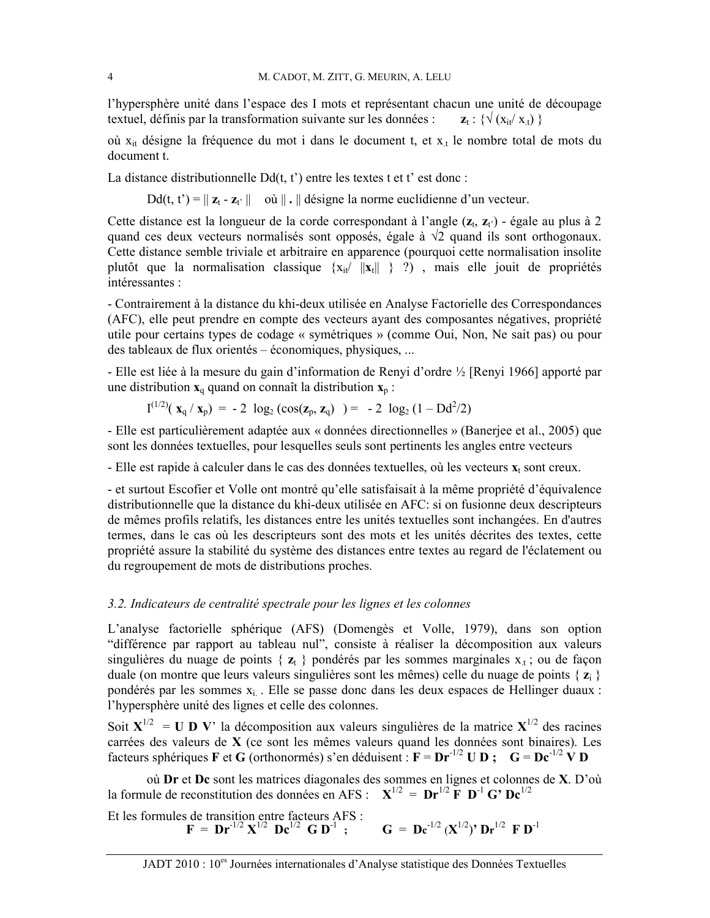l'hypersphère unité dans l'espace des I mots et représentant chacun une unité de découpage textuel, définis par la transformation suivante sur les données :  $\mathbf{z}_t : \{ \sqrt{(x_{it}/x_t)} \}$ 

où  $x_{it}$  désigne la fréquence du mot i dans le document t, et  $x_t$  le nombre total de mots du document t.

La distance distributionnelle  $Dd(t, t')$  entre les textes t et t' est donc :

 $Dd(t, t') = || z_t - z_t ||$  où  $|| . ||$  désigne la norme euclidienne d'un vecteur.

Cette distance est la longueur de la corde correspondant à l'angle  $(z_t, z_t)$  - égale au plus à 2 quand ces deux vecteurs normalisés sont opposés, égale à  $\sqrt{2}$  quand ils sont orthogonaux. Cette distance semble triviale et arbitraire en apparence (pourquoi cette normalisation insolite plutôt que la normalisation classique  $\{x_{it} / ||x_t|| \}$  ?), mais elle jouit de propriétés intéressantes :

- Contrairement à la distance du khi-deux utilisée en Analyse Factorielle des Correspondances (AFC), elle peut prendre en compte des vecteurs ayant des composantes négatives, propriété utile pour certains types de codage « symétriques » (comme Oui, Non, Ne sait pas) ou pour des tableaux de flux orientés – économiques, physiques, ...

- Elle est liée à la mesure du gain d'information de Renyi d'ordre ½ [Renyi 1966] apporté par une distribution  $x_a$  quand on connaît la distribution  $x_p$ :

$$
I^{(1/2)}(x_q/x_p) = -2 \log_2(\cos(z_p, z_q)) = -2 \log_2(1 - Dd^2/2)
$$

- Elle est particulièrement adaptée aux « données directionnelles » (Baneriee et al., 2005) que sont les données textuelles, pour lesquelles seuls sont pertinents les angles entre vecteurs

- Elle est rapide à calculer dans le cas des données textuelles, où les vecteurs  $x_t$  sont creux.

- et surtout Escofier et Volle ont montré qu'elle satisfaisait à la même propriété d'équivalence distributionnelle que la distance du khi-deux utilisée en AFC: si on fusionne deux descripteurs de mêmes profils relatifs, les distances entre les unités textuelles sont inchangées. En d'autres termes, dans le cas où les descripteurs sont des mots et les unités décrites des textes, cette propriété assure la stabilité du système des distances entre textes au regard de l'éclatement ou du regroupement de mots de distributions proches.

#### 3.2. Indicateurs de centralité spectrale pour les lignes et les colonnes

L'analyse factorielle sphérique (AFS) (Domengès et Volle, 1979), dans son option "différence par rapport au tableau nul", consiste à réaliser la décomposition aux valeurs singulières du nuage de points {  $z_t$  } pondérés par les sommes marginales  $x_t$ ; ou de façon duale (on montre que leurs valeurs singulières sont les mêmes) celle du nuage de points { $z<sub>i</sub>$ } pondérés par les sommes x<sub>i</sub>. Elle se passe donc dans les deux espaces de Hellinger duaux : l'hypersphère unité des lignes et celle des colonnes.

Soit  $X^{1/2}$  = U D V' la décomposition aux valeurs singulières de la matrice  $X^{1/2}$  des racines carrées des valeurs de X (ce sont les mêmes valeurs quand les données sont binaires). Les facteurs sphériques F et G (orthonormés) s'en déduisent :  $F = Dr^{-1/2} U D$ ;  $G = Dc^{-1/2} V D$ 

où Dr et Dc sont les matrices diagonales des sommes en lignes et colonnes de X. D'où la formule de reconstitution des données en AFS :  $X^{1/2} = Dr^{1/2}F D^{-1}G^2 Dc^{1/2}$ 

Et les formules de transition entre facteurs AFS :<br>  $\mathbf{F} = \mathbf{Dr}^{-1/2} \mathbf{X}^{1/2} \mathbf{D} \mathbf{c}^{1/2} \mathbf{G} \mathbf{D}^{-1}$ ;  $\mathbf{G} = \mathbf{D} \mathbf{c}^{-1/2} (\mathbf{X}^{1/2})' \mathbf{D} \mathbf{r}^{1/2} \mathbf{F} \mathbf{D}^{-1}$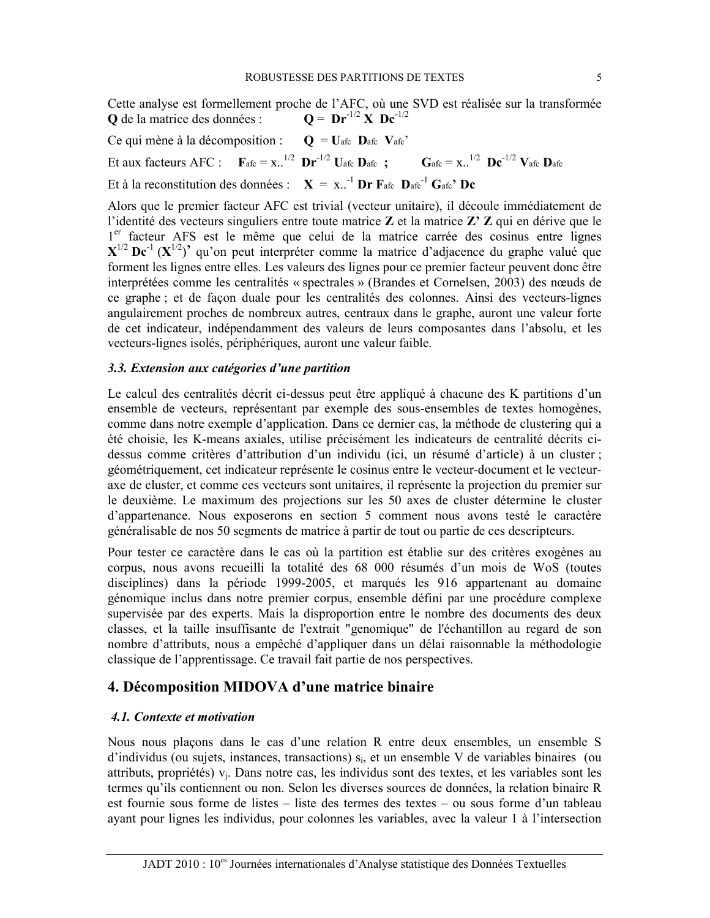Cette analyse est formellement proche de l'AFC, où une SVD est réalisée sur la transformée  $Q = Dr^{-1/2} X Dc^{-1/2}$ **O** de la matrice des données :

Ce qui mène à la décomposition :  $Q = U_{\text{afc}} D_{\text{afc}} V_{\text{afc}}'$ Et aux facteurs AFC :  $\mathbf{F}_{\text{afe}} = \mathbf{x}$ ..<sup>1/2</sup>  $\mathbf{Dr}^{-1/2}$  Uafe  $\mathbf{D}_{\text{afe}}$ ;  $\mathbf{G}_{\text{afe}} = \mathbf{x}$ ..<sup>1/2</sup>  $\mathbf{D} \mathbf{c}^{-1/2}$   $\mathbf{V}_{\text{afe}} \mathbf{D}_{\text{afe}}$ Et à la reconstitution des données :  $X = x^{-1}$  Dr Fafe Dafe<sup>-1</sup> Gafe' De

Alors que le premier facteur AFC est trivial (vecteur unitaire), il découle immédiatement de l'identité des vecteurs singuliers entre toute matrice  $Z$  et la matrice  $Z'Z$  qui en dérive que le l<sup>er</sup> facteur AFS est le même que celui de la matrice carrée des cosinus entre lignes  $X^{1/2}$  Dc<sup>-1</sup> ( $X^{1/2}$ )<sup>2</sup> qu'on peut interpréter comme la matrice d'adjacence du graphe valué que forment les lignes entre elles. Les valeurs des lignes pour ce premier facteur peuvent donc être interprétées comme les centralités « spectrales » (Brandes et Cornelsen, 2003) des nœuds de ce graphe; et de façon duale pour les centralités des colonnes. Ainsi des vecteurs-lignes angulairement proches de nombreux autres, centraux dans le graphe, auront une valeur forte de cet indicateur, indépendamment des valeurs de leurs composantes dans l'absolu, et les vecteurs-lignes isolés, périphériques, auront une valeur faible.

#### 3.3. Extension aux catégories d'une partition

Le calcul des centralités décrit ci-dessus peut être appliqué à chacune des K partitions d'un ensemble de vecteurs, représentant par exemple des sous-ensembles de textes homogènes, comme dans notre exemple d'application. Dans ce dernier cas, la méthode de clustering qui a été choisie, les K-means axiales, utilise précisément les indicateurs de centralité décrits cidessus comme critères d'attribution d'un individu (ici, un résumé d'article) à un cluster; géométriquement, cet indicateur représente le cosinus entre le vecteur-document et le vecteuraxe de cluster, et comme ces vecteurs sont unitaires, il représente la projection du premier sur le deuxième. Le maximum des projections sur les 50 axes de cluster détermine le cluster d'appartenance. Nous exposerons en section 5 comment nous avons testé le caractère généralisable de nos 50 segments de matrice à partir de tout ou partie de ces descripteurs.

Pour tester ce caractère dans le cas où la partition est établie sur des critères exogènes au corpus, nous avons recueilli la totalité des 68 000 résumés d'un mois de WoS (toutes disciplines) dans la période 1999-2005, et marqués les 916 appartenant au domaine génomique inclus dans notre premier corpus, ensemble défini par une procédure complexe supervisée par des experts. Mais la disproportion entre le nombre des documents des deux classes, et la taille insuffisante de l'extrait "genomique" de l'échantillon au regard de son nombre d'attributs, nous a empêché d'appliquer dans un délai raisonnable la méthodologie classique de l'apprentissage. Ce travail fait partie de nos perspectives.

#### 4. Décomposition MIDOVA d'une matrice binaire

#### 4.1. Contexte et motivation

Nous nous plaçons dans le cas d'une relation R entre deux ensembles, un ensemble S d'individus (ou sujets, instances, transactions) s<sub>i</sub>, et un ensemble V de variables binaires (ou attributs, propriétés)  $v_i$ . Dans notre cas, les individus sont des textes, et les variables sont les termes qu'ils contiennent ou non. Selon les diverses sources de données, la relation binaire R est fournie sous forme de listes – liste des termes des textes – ou sous forme d'un tableau avant pour lignes les individus, pour colonnes les variables, avec la valeur 1 à l'intersection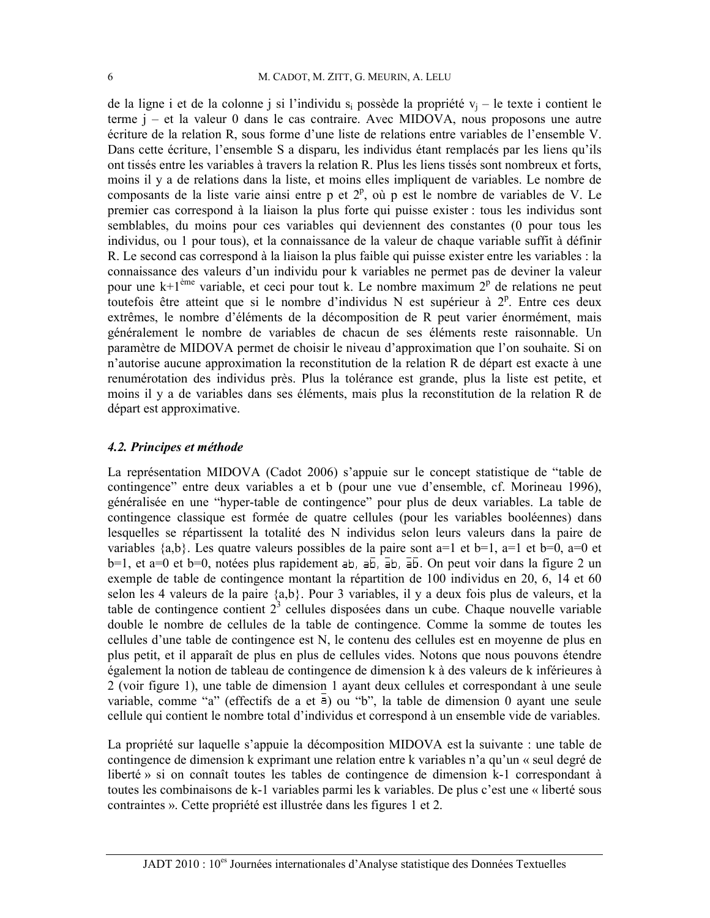de la ligne i et de la colonne j si l'individu  $s_i$  possède la propriété  $v_i$  – le texte i contient le terme  $i - e t$  la valeur 0 dans le cas contraire. Avec MIDOVA, nous proposons une autre écriture de la relation R, sous forme d'une liste de relations entre variables de l'ensemble V. Dans cette écriture, l'ensemble S a disparu, les individus étant remplacés par les liens qu'ils ont tissés entre les variables à travers la relation R. Plus les liens tissés sont nombreux et forts, moins il y a de relations dans la liste, et moins elles impliquent de variables. Le nombre de composants de la liste varie ainsi entre p et  $2^p$ , où p est le nombre de variables de V. Le premier cas correspond à la liaison la plus forte qui puisse exister : tous les individus sont semblables, du moins pour ces variables qui deviennent des constantes (0 pour tous les individus, ou 1 pour tous), et la connaissance de la valeur de chaque variable suffit à définir R. Le second cas correspond à la liaison la plus faible qui puisse exister entre les variables : la connaissance des valeurs d'un individu pour k variables ne permet pas de deviner la valeur pour une  $k+1$ <sup>ème</sup> variable, et ceci pour tout k. Le nombre maximum  $2^p$  de relations ne peut toutefois être atteint que si le nombre d'individus N est supérieur à  $2^p$ . Entre ces deux extrêmes, le nombre d'éléments de la décomposition de R peut varier énormément, mais généralement le nombre de variables de chacun de ses éléments reste raisonnable. Un paramètre de MIDOVA permet de choisir le niveau d'approximation que l'on souhaite. Si on n'autorise aucune approximation la reconstitution de la relation R de départ est exacte à une renumérotation des individus près. Plus la tolérance est grande, plus la liste est petite, et moins il y a de variables dans ses éléments, mais plus la reconstitution de la relation R de départ est approximative.

#### 4.2. Principes et méthode

La représentation MIDOVA (Cadot 2006) s'appuie sur le concept statistique de "table de contingence" entre deux variables a et b (pour une vue d'ensemble, cf. Morineau 1996), généralisée en une "hyper-table de contingence" pour plus de deux variables. La table de contingence classique est formée de quatre cellules (pour les variables booléennes) dans lesquelles se répartissent la totalité des N individus selon leurs valeurs dans la paire de variables  $\{a,b\}$ . Les quatre valeurs possibles de la paire sont a=1 et b=1, a=1 et b=0, a=0 et  $b=1$ , et a=0 et  $b=0$ , notées plus rapidement ab, ab, ab, ab. On peut voir dans la figure 2 un exemple de table de contingence montant la répartition de 100 individus en 20, 6, 14 et 60 selon les 4 valeurs de la paire  $\{a,b\}$ . Pour 3 variables, il y a deux fois plus de valeurs, et la table de contingence contient  $2<sup>3</sup>$  cellules disposées dans un cube. Chaque nouvelle variable double le nombre de cellules de la table de contingence. Comme la somme de toutes les cellules d'une table de contingence est N, le contenu des cellules est en moyenne de plus en plus petit, et il apparaît de plus en plus de cellules vides. Notons que nous pouvons étendre également la notion de tableau de contingence de dimension k à des valeurs de k inférieures à 2 (voir figure 1), une table de dimension 1 ayant deux cellules et correspondant à une seule variable, comme "a" (effectifs de a et  $\overline{a}$ ) ou "b", la table de dimension 0 ayant une seule cellule qui contient le nombre total d'individus et correspond à un ensemble vide de variables.

La propriété sur laquelle s'appuie la décomposition MIDOVA est la suivante : une table de contingence de dimension k exprimant une relation entre k variables n'a qu'un « seul degré de liberté » si on connaît toutes les tables de contingence de dimension k-1 correspondant à toutes les combinaisons de k-1 variables parmi les k variables. De plus c'est une « liberté sous contraintes ». Cette propriété est illustrée dans les figures 1 et 2.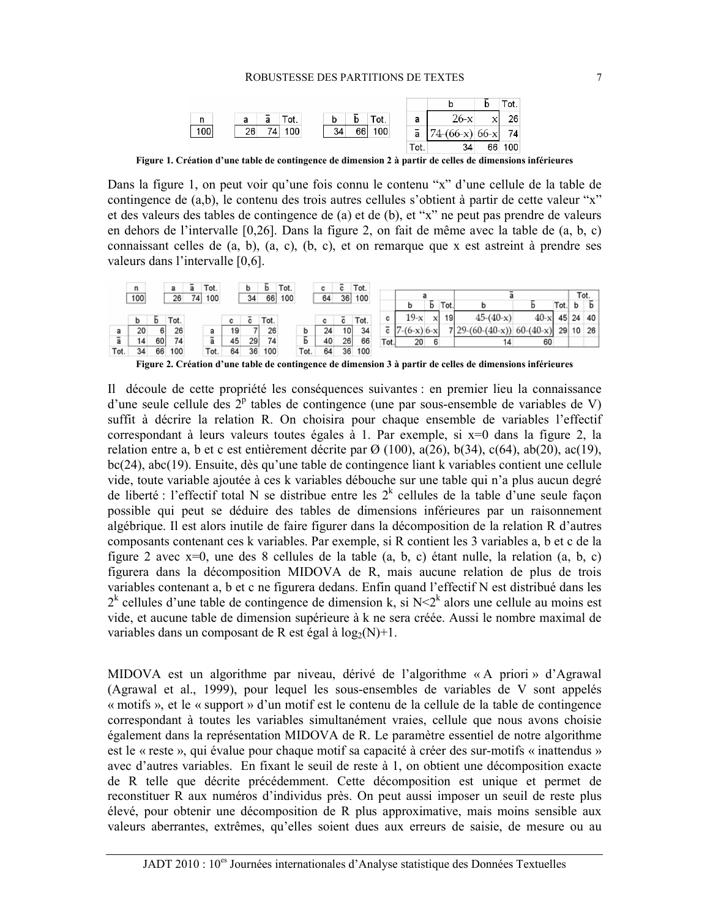

Figure 1. Création d'une table de contingence de dimension 2 à partir de celles de dimensions inférieures

Dans la figure 1, on peut voir qu'une fois connu le contenu "x" d'une cellule de la table de contingence de (a,b), le contenu des trois autres cellules s'obtient à partir de cette valeur "x" et des valeurs des tables de contingence de (a) et de (b), et "x" ne peut pas prendre de valeurs en dehors de l'intervalle [0,26]. Dans la figure 2, on fait de même avec la table de (a, b, c) connaissant celles de (a, b), (a, c), (b, c), et on remarque que x est astreint à prendre ses valeurs dans l'intervalle [0,6].



Figure 2. Création d'une table de contingence de dimension 3 à partir de celles de dimensions inférieures

Il découle de cette propriété les conséquences suivantes : en premier lieu la connaissance d'une seule cellule des  $2^p$  tables de contingence (une par sous-ensemble de variables de V) suffit à décrire la relation R. On choisira pour chaque ensemble de variables l'effectif correspondant à leurs valeurs toutes égales à 1. Par exemple, si x=0 dans la figure 2, la relation entre a, b et c est entièrement décrite par  $\varnothing$  (100), a(26), b(34), c(64), ab(20), ac(19),  $bc(24)$ , abc $(19)$ . Ensuite, dès qu'une table de contingence liant k variables contient une cellule vide, toute variable ajoutée à ces k variables débouche sur une table qui n'a plus aucun degré de liberté : l'effectif total N se distribue entre les  $2^k$  cellules de la table d'une seule façon possible qui peut se déduire des tables de dimensions inférieures par un raisonnement algébrique. Il est alors inutile de faire figurer dans la décomposition de la relation R d'autres composants contenant ces k variables. Par exemple, si R contient les 3 variables a, b et c de la figure 2 avec  $x=0$ , une des 8 cellules de la table (a, b, c) étant nulle, la relation (a, b, c) figurera dans la décomposition MIDOVA de R, mais aucune relation de plus de trois variables contenant a, b et c ne figurera dedans. Enfin quand l'effectif N est distribué dans les  $2^k$  cellules d'une table de contingence de dimension k, si N<2<sup>k</sup> alors une cellule au moins est vide, et aucune table de dimension supérieure à k ne sera créée. Aussi le nombre maximal de variables dans un composant de R est égal à  $log_2(N)+1$ .

MIDOVA est un algorithme par niveau, dérivé de l'algorithme « A priori » d'Agrawal (Agrawal et al., 1999), pour lequel les sous-ensembles de variables de V sont appelés « motifs », et le « support » d'un motif est le contenu de la cellule de la table de contingence correspondant à toutes les variables simultanément vraies, cellule que nous avons choisie également dans la représentation MIDOVA de R. Le paramètre essentiel de notre algorithme est le « reste », qui évalue pour chaque motif sa capacité à créer des sur-motifs « inattendus » avec d'autres variables. En fixant le seuil de reste à 1, on obtient une décomposition exacte de R telle que décrite précédemment. Cette décomposition est unique et permet de reconstituer R aux numéros d'individus près. On peut aussi imposer un seuil de reste plus élevé, pour obtenir une décomposition de R plus approximative, mais moins sensible aux valeurs aberrantes, extrêmes, qu'elles soient dues aux erreurs de saisie, de mesure ou au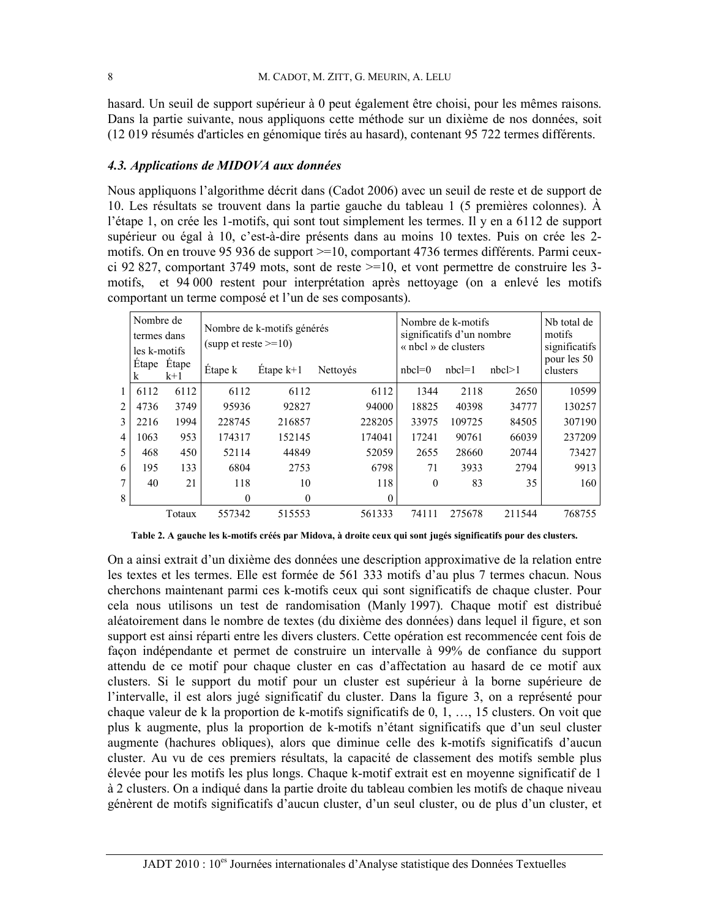hasard. Un seuil de support supérieur à 0 peut également être choisi, pour les mêmes raisons. Dans la partie suivante, nous appliquons cette méthode sur un dixième de nos données, soit (12 019 résumés d'articles en génomique tirés au hasard), contenant 95 722 termes différents.

#### 4.3. Applications de MIDOVA aux données

Nous appliquons l'algorithme décrit dans (Cadot 2006) avec un seuil de reste et de support de 10. Les résultats se trouvent dans la partie gauche du tableau 1 (5 premières colonnes). À l'étape 1, on crée les 1-motifs, qui sont tout simplement les termes. Il y en a 6112 de support supérieur ou égal à 10, c'est-à-dire présents dans au moins 10 textes. Puis on crée les 2motifs. On en trouve 95 936 de support >=10, comportant 4736 termes différents. Parmi ceuxci 92 827, comportant 3749 mots, sont de reste  $\geq$ =10, et vont permettre de construire les 3motifs, et 94 000 restent pour interprétation après nettoyage (on a enlevé les motifs comportant un terme composé et l'un de ses composants).

|   | Nombre de<br>termes dans<br>les k-motifs |                      | Nombre de k-motifs générés<br>(supp et reste $>=10$ ) |             |          |              | Nombre de k-motifs<br>significatifs d'un nombre<br>« nbcl » de clusters |           |              | Nh total de<br>motifs<br>significatifs |  |
|---|------------------------------------------|----------------------|-------------------------------------------------------|-------------|----------|--------------|-------------------------------------------------------------------------|-----------|--------------|----------------------------------------|--|
|   | k                                        | Étape Étape<br>$k+1$ | Étape k                                               | Etape $k+1$ | Nettoyés |              | $nbcl=0$                                                                | $nbc = 1$ | $nbc$   $>1$ | pour les 50<br>clusters                |  |
| 1 | 6112                                     | 6112                 | 6112                                                  | 6112        |          | 6112         | 1344                                                                    | 2118      | 2650         | 10599                                  |  |
| 2 | 4736                                     | 3749                 | 95936                                                 | 92827       |          | 94000        | 18825                                                                   | 40398     | 34777        | 130257                                 |  |
| 3 | 2216                                     | 1994                 | 228745                                                | 216857      |          | 228205       | 33975                                                                   | 109725    | 84505        | 307190                                 |  |
| 4 | 1063                                     | 953                  | 174317                                                | 152145      |          | 174041       | 17241                                                                   | 90761     | 66039        | 237209                                 |  |
| 5 | 468                                      | 450                  | 52114                                                 | 44849       |          | 52059        | 2655                                                                    | 28660     | 20744        | 73427                                  |  |
| 6 | 195                                      | 133                  | 6804                                                  | 2753        |          | 6798         | 71                                                                      | 3933      | 2794         | 9913                                   |  |
|   | 40                                       | 21                   | 118                                                   | 10          |          | 118          | $\theta$                                                                | 83        | 35           | 160                                    |  |
| 8 |                                          |                      | 0                                                     | 0           |          | $\mathbf{0}$ |                                                                         |           |              |                                        |  |
|   |                                          | Totaux               | 557342                                                | 515553      |          | 561333       | 74111                                                                   | 275678    | 211544       | 768755                                 |  |

Table 2. A gauche les k-motifs créés par Midova, à droite ceux qui sont jugés significatifs pour des clusters.

On a ainsi extrait d'un dixième des données une description approximative de la relation entre les textes et les termes. Elle est formée de 561 333 motifs d'au plus 7 termes chacun. Nous cherchons maintenant parmi ces k-motifs ceux qui sont significatifs de chaque cluster. Pour cela nous utilisons un test de randomisation (Manly 1997). Chaque motif est distribué aléatoirement dans le nombre de textes (du dixième des données) dans lequel il figure, et son support est ainsi réparti entre les divers clusters. Cette opération est recommencée cent fois de façon indépendante et permet de construire un intervalle à 99% de confiance du support attendu de ce motif pour chaque cluster en cas d'affectation au hasard de ce motif aux clusters. Si le support du motif pour un cluster est supérieur à la borne supérieure de l'intervalle, il est alors jugé significatif du cluster. Dans la figure 3, on a représenté pour chaque valeur de k la proportion de k-motifs significatifs de 0, 1, ..., 15 clusters. On voit que plus k augmente, plus la proportion de k-motifs n'étant significatifs que d'un seul cluster augmente (hachures obliques), alors que diminue celle des k-motifs significatifs d'aucun cluster. Au vu de ces premiers résultats, la capacité de classement des motifs semble plus élevée pour les motifs les plus longs. Chaque k-motif extrait est en moyenne significatif de 1 à 2 clusters. On a indiqué dans la partie droite du tableau combien les motifs de chaque niveau génèrent de motifs significatifs d'aucun cluster, d'un seul cluster, ou de plus d'un cluster, et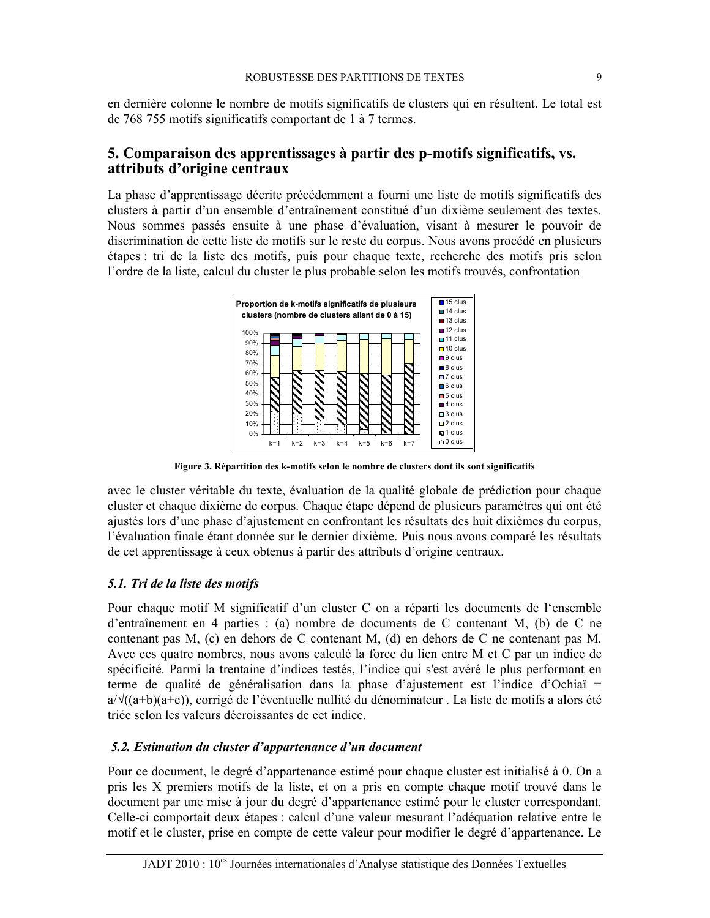en dernière colonne le nombre de motifs significatifs de clusters qui en résultent. Le total est de 768 755 motifs significatifs comportant de 1 à 7 termes.

### 5. Comparaison des apprentissages à partir des p-motifs significatifs, vs. attributs d'origine centraux

La phase d'apprentissage décrite précédemment a fourni une liste de motifs significatifs des clusters à partir d'un ensemble d'entraînement constitué d'un dixième seulement des textes. Nous sommes passés ensuite à une phase d'évaluation, visant à mesurer le pouvoir de discrimination de cette liste de motifs sur le reste du corpus. Nous avons procédé en plusieurs étapes : tri de la liste des motifs, puis pour chaque texte, recherche des motifs pris selon l'ordre de la liste, calcul du cluster le plus probable selon les motifs trouvés, confrontation



Figure 3. Répartition des k-motifs selon le nombre de clusters dont ils sont significatifs

avec le cluster véritable du texte, évaluation de la qualité globale de prédiction pour chaque cluster et chaque dixième de corpus. Chaque étape dépend de plusieurs paramètres qui ont été ajustés lors d'une phase d'ajustement en confrontant les résultats des huit dixièmes du corpus, l'évaluation finale étant donnée sur le dernier dixième. Puis nous avons comparé les résultats de cet apprentissage à ceux obtenus à partir des attributs d'origine centraux.

#### 5.1. Tri de la liste des motifs

Pour chaque motif M significatif d'un cluster C on a réparti les documents de l'ensemble d'entraînement en 4 parties : (a) nombre de documents de C contenant M, (b) de C ne contenant pas M, (c) en dehors de C contenant M, (d) en dehors de C ne contenant pas M. Avec ces quatre nombres, nous avons calculé la force du lien entre M et C par un indice de spécificité. Parmi la trentaine d'indices testés, l'indice qui s'est avéré le plus performant en terme de qualité de généralisation dans la phase d'ajustement est l'indice d'Ochiaï  $a/\sqrt{(a+b)(a+c)}$ , corrigé de l'éventuelle nullité du dénominateur. La liste de motifs a alors été triée selon les valeurs décroissantes de cet indice.

#### 5.2. Estimation du cluster d'appartenance d'un document

Pour ce document, le degré d'appartenance estimé pour chaque cluster est initialisé à 0. On a pris les X premiers motifs de la liste, et on a pris en compte chaque motif trouvé dans le document par une mise à jour du degré d'appartenance estimé pour le cluster correspondant. Celle-ci comportait deux étapes : calcul d'une valeur mesurant l'adéquation relative entre le motif et le cluster, prise en compte de cette valeur pour modifier le degré d'appartenance. Le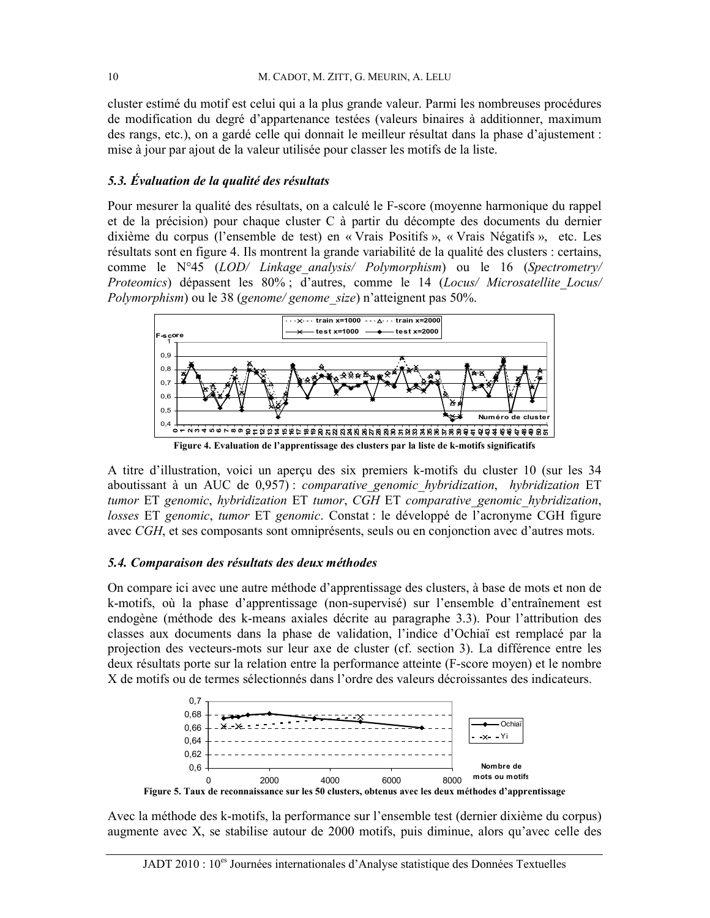cluster estimé du motif est celui qui a la plus grande valeur. Parmi les nombreuses procédures de modification du degré d'appartenance testées (valeurs binaires à additionner, maximum des rangs, etc.), on a gardé celle qui donnait le meilleur résultat dans la phase d'ajustement : mise à jour par ajout de la valeur utilisée pour classer les motifs de la liste.

#### 5.3. Évaluation de la qualité des résultats

Pour mesurer la qualité des résultats, on a calculé le F-score (moyenne harmonique du rappel et de la précision) pour chaque cluster C à partir du décompte des documents du dernier dixième du corpus (l'ensemble de test) en « Vrais Positifs », « Vrais Négatifs », etc. Les résultats sont en figure 4. Ils montrent la grande variabilité de la qualité des clusters : certains, comme le N°45 (LOD/ Linkage analysis/ Polymorphism) ou le 16 (Spectrometry/ Proteomics) dépassent les 80%; d'autres, comme le 14 (Locus/ Microsatellite Locus/ *Polymorphism*) ou le 38 (*genome/ genome size*) n'atteignent pas 50%.



A titre d'illustration, voici un aperçu des six premiers k-motifs du cluster 10 (sur les 34 aboutissant à un AUC de 0.957) : comparative genomic hybridization, hybridization ET tumor ET genomic, hybridization ET tumor, CGH ET comparative genomic hybridization, losses ET genomic, tumor ET genomic. Constat : le développé de l'acronyme CGH figure avec CGH, et ses composants sont omniprésents, seuls ou en conjonction avec d'autres mots.

#### 5.4. Comparaison des résultats des deux méthodes

On compare ici avec une autre méthode d'apprentissage des clusters, à base de mots et non de k-motifs, où la phase d'apprentissage (non-supervisé) sur l'ensemble d'entraînement est endogène (méthode des k-means axiales décrite au paragraphe 3.3). Pour l'attribution des classes aux documents dans la phase de validation. l'indice d'Ochiaï est remplacé par la projection des vecteurs-mots sur leur axe de cluster (cf. section 3). La différence entre les deux résultats porte sur la relation entre la performance atteinte (F-score moyen) et le nombre X de motifs ou de termes sélectionnés dans l'ordre des valeurs décroissantes des indicateurs.



Avec la méthode des k-motifs, la performance sur l'ensemble test (dernier dixième du corpus) augmente avec X, se stabilise autour de 2000 motifs, puis diminue, alors qu'avec celle des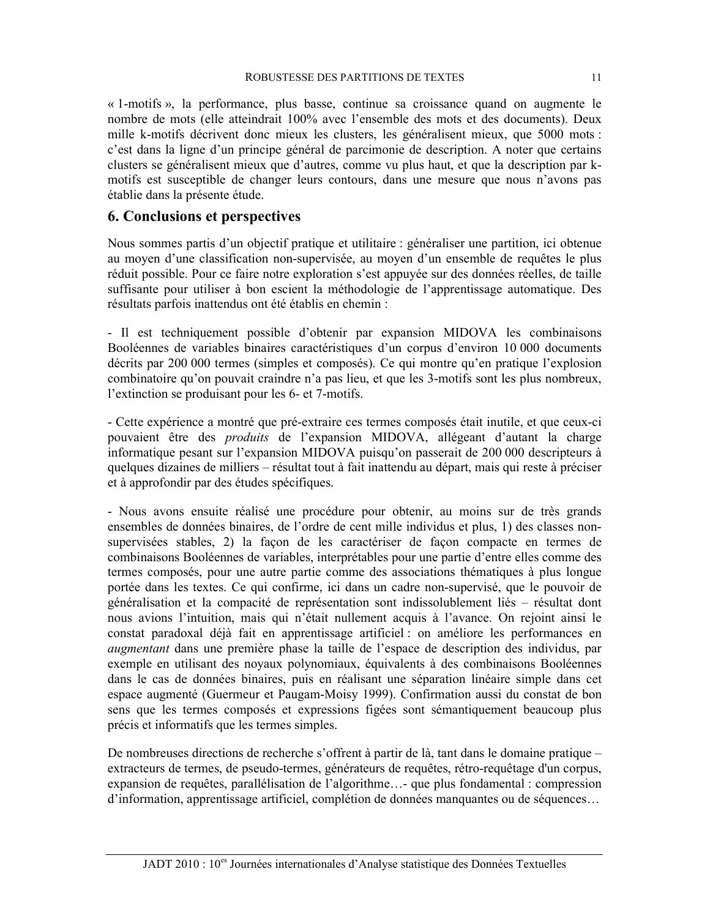« 1-motifs », la performance, plus basse, continue sa croissance quand on augmente le nombre de mots (elle atteindrait 100% avec l'ensemble des mots et des documents). Deux mille k-motifs décrivent donc mieux les clusters, les généralisent mieux, que 5000 mots : c'est dans la ligne d'un principe général de parcimonie de description. A noter que certains clusters se généralisent mieux que d'autres, comme vu plus haut, et que la description par kmotifs est susceptible de changer leurs contours, dans une mesure que nous n'avons pas établie dans la présente étude.

## **6. Conclusions et perspectives**

Nous sommes partis d'un objectif pratique et utilitaire : généraliser une partition, ici obtenue au moyen d'une classification non-supervisée, au moyen d'un ensemble de requêtes le plus réduit possible. Pour ce faire notre exploration s'est appuyée sur des données réelles, de taille suffisante pour utiliser à bon escient la méthodologie de l'apprentissage automatique. Des résultats parfois inattendus ont été établis en chemin :

- Il est techniquement possible d'obtenir par expansion MIDOVA les combinaisons Booléennes de variables binaires caractéristiques d'un corpus d'environ 10 000 documents décrits par 200 000 termes (simples et composés). Ce qui montre qu'en pratique l'explosion combinatoire qu'on pouvait craindre n'a pas lieu, et que les 3-motifs sont les plus nombreux, l'extinction se produisant pour les 6- et 7-motifs.

- Cette expérience a montré que pré-extraire ces termes composés était inutile, et que ceux-ci pouvaient être des *produits* de l'expansion MIDOVA, allégeant d'autant la charge informatique pesant sur l'expansion MIDOVA puisqu'on passerait de 200 000 descripteurs à quelques dizaines de milliers – résultat tout à fait inattendu au départ, mais qui reste à préciser et à approfondir par des études spécifiques.

- Nous avons ensuite réalisé une procédure pour obtenir, au moins sur de très grands ensembles de données binaires, de l'ordre de cent mille individus et plus, 1) des classes nonsupervisées stables, 2) la façon de les caractériser de façon compacte en termes de combinaisons Booléennes de variables, interprétables pour une partie d'entre elles comme des termes composés, pour une autre partie comme des associations thématiques à plus longue portée dans les textes. Ce qui confirme, ici dans un cadre non-supervisé, que le pouvoir de généralisation et la compacité de représentation sont indissolublement liés – résultat dont nous avions l'intuition, mais qui n'était nullement acquis à l'avance. On rejoint ainsi le constat paradoxal déjà fait en apprentissage artificiel : on améliore les performances en *augmentant* dans une première phase la taille de l'espace de description des individus, par exemple en utilisant des noyaux polynomiaux, équivalents à des combinaisons Booléennes dans le cas de données binaires, puis en réalisant une séparation linéaire simple dans cet espace augmenté (Guermeur et Paugam-Moisy 1999). Confirmation aussi du constat de bon sens que les termes composés et expressions figées sont sémantiquement beaucoup plus précis et informatifs que les termes simples.

De nombreuses directions de recherche s'offrent à partir de là, tant dans le domaine pratique – extracteurs de termes, de pseudo-termes, générateurs de requêtes, rétro-requêtage d'un corpus, expansion de requêtes, parallélisation de l'algorithme...- que plus fondamental : compression d'information, apprentissage artificiel, complétion de données manquantes ou de séquences...